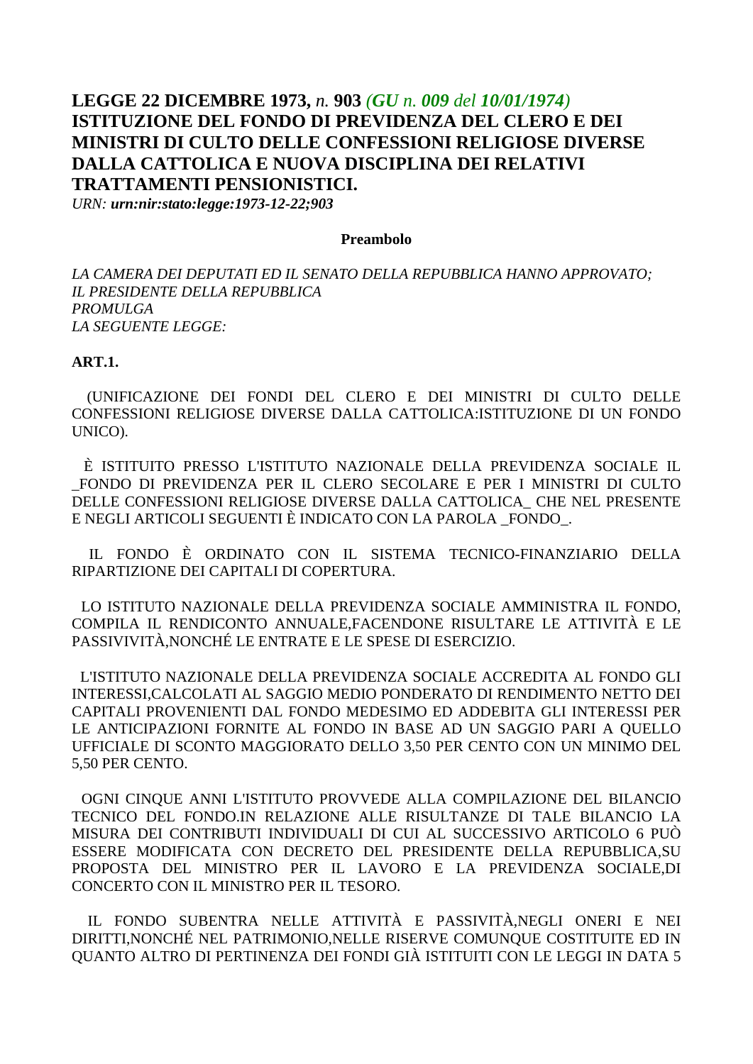# LEGGE 22 DICEMBRE 1973, n. 903 (GU n. 009 del 10/01/1974) **ISTITUZIONE DEL FONDO DI PREVIDENZA DEL CLERO E DEI** MINISTRI DI CULTO DELLE CONFESSIONI RELIGIOSE DIVERSE DALLA CATTOLICA E NUOVA DISCIPLINA DEI RELATIVI **TRATTAMENTI PENSIONISTICI.**

URN: urn:nir:stato:legge:1973-12-22;903

#### Preambolo

LA CAMERA DEI DEPUTATI ED IL SENATO DELLA REPUBBLICA HANNO APPROVATO; **IL PRESIDENTE DELLA REPUBBLICA PROMULGA** LA SEGUENTE LEGGE:

#### **ART.1.**

(UNIFICAZIONE DEI FONDI DEL CLERO E DEI MINISTRI DI CULTO DELLE CONFESSIONI RELIGIOSE DIVERSE DALLA CATTOLICA: ISTITUZIONE DI UN FONDO UNICO).

È ISTITUITO PRESSO L'ISTITUTO NAZIONALE DELLA PREVIDENZA SOCIALE IL FONDO DI PREVIDENZA PER IL CLERO SECOLARE E PER I MINISTRI DI CULTO DELLE CONFESSIONI RELIGIOSE DIVERSE DALLA CATTOLICA CHE NEL PRESENTE E NEGLI ARTICOLI SEGUENTI È INDICATO CON LA PAROLA FONDO.

IL FONDO È ORDINATO CON IL SISTEMA TECNICO-FINANZIARIO DELLA RIPARTIZIONE DEI CAPITALI DI COPERTURA.

LO ISTITUTO NAZIONALE DELLA PREVIDENZA SOCIALE AMMINISTRA IL FONDO. COMPILA IL RENDICONTO ANNUALE, FACENDONE RISULTARE LE ATTIVITÀ E LE PASSIVIVITÀ NONCHÉ LE ENTRATE E LE SPESE DI ESERCIZIO.

L'ISTITUTO NAZIONALE DELLA PREVIDENZA SOCIALE ACCREDITA AL FONDO GLI INTERESSI.CALCOLATI AL SAGGIO MEDIO PONDERATO DI RENDIMENTO NETTO DEI CAPITALI PROVENIENTI DAL FONDO MEDESIMO ED ADDEBITA GLI INTERESSI PER LE ANTICIPAZIONI FORNITE AL FONDO IN BASE AD UN SAGGIO PARI A QUELLO UFFICIALE DI SCONTO MAGGIORATO DELLO 3,50 PER CENTO CON UN MINIMO DEL 5,50 PER CENTO.

OGNI CINQUE ANNI L'ISTITUTO PROVVEDE ALLA COMPILAZIONE DEL BILANCIO TECNICO DEL FONDO IN RELAZIONE ALLE RISULTANZE DI TALE BILANCIO LA MISURA DEI CONTRIBUTI INDIVIDUALI DI CUI AL SUCCESSIVO ARTICOLO 6 PUÒ ESSERE MODIFICATA CON DECRETO DEL PRESIDENTE DELLA REPUBBLICA.SU PROPOSTA DEL MINISTRO PER IL LAVORO E LA PREVIDENZA SOCIALE, DI CONCERTO CON IL MINISTRO PER IL TESORO.

IL FONDO SUBENTRA NELLE ATTIVITÀ E PASSIVITÀ.NEGLI ONERI E NEI DIRITTI, NONCHÉ NEL PATRIMONIO, NELLE RISERVE COMUNQUE COSTITUITE ED IN QUANTO ALTRO DI PERTINENZA DEI FONDI GIÀ ISTITUITI CON LE LEGGI IN DATA 5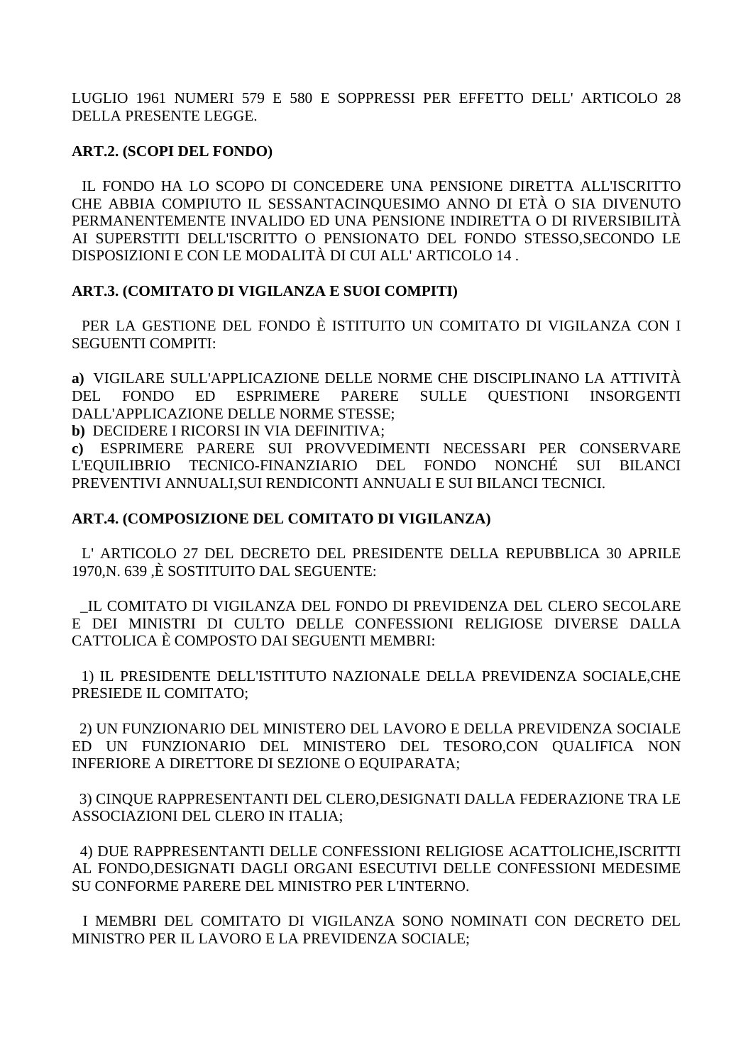LUGLIO 1961 NUMERI 579 E 580 E SOPPRESSI PER EFFETTO DELL' ARTICOLO 28 DELLA PRESENTE LEGGE.

## **ART.2. (SCOPI DEL FONDO)**

IL FONDO HA LO SCOPO DI CONCEDERE UNA PENSIONE DIRETTA ALL'ISCRITTO CHE ABBIA COMPIUTO IL SESSANTACINQUESIMO ANNO DI ETÀ O SIA DIVENUTO PERMANENTEMENTE INVALIDO ED UNA PENSIONE INDIRETTA O DI RIVERSIBILITÀ AI SUPERSTITI DELL'ISCRITTO O PENSIONATO DEL FONDO STESSO, SECONDO LE DISPOSIZIONI E CON LE MODALITÀ DI CUI ALL'ARTICOLO 14.

## ART.3. (COMITATO DI VIGILANZA E SUOI COMPITI)

PER LA GESTIONE DEL FONDO È ISTITUITO UN COMITATO DI VIGILANZA CON I **SEGUENTI COMPITI:** 

a) VIGILARE SULL'APPLICAZIONE DELLE NORME CHE DISCIPLINANO LA ATTIVITÀ  $ED$ **ESPRIMERE SULLE** DEL.  $FONDO$ **PARERE OUESTIONI INSORGENTI** DALL'APPLICAZIONE DELLE NORME STESSE:

b) DECIDERE I RICORSI IN VIA DEFINITIVA;

c) ESPRIMERE PARERE SUI PROVVEDIMENTI NECESSARI PER CONSERVARE TECNICO-FINANZIARIO DEL FONDO NONCHÉ **L'EQUILIBRIO** SUI BILANCI PREVENTIVI ANNUALI, SUI RENDICONTI ANNUALI E SUI BILANCI TECNICI.

### ART.4. (COMPOSIZIONE DEL COMITATO DI VIGILANZA)

L' ARTICOLO 27 DEL DECRETO DEL PRESIDENTE DELLA REPUBBLICA 30 APRILE 1970, N. 639, È SOSTITUITO DAL SEGUENTE:

IL COMITATO DI VIGILANZA DEL FONDO DI PREVIDENZA DEL CLERO SECOLARE E DEI MINISTRI DI CULTO DELLE CONFESSIONI RELIGIOSE DIVERSE DALLA CATTOLICA È COMPOSTO DAI SEGUENTI MEMBRI:

1) IL PRESIDENTE DELL'ISTITUTO NAZIONALE DELLA PREVIDENZA SOCIALE, CHE PRESIEDE IL COMITATO:

2) UN FUNZIONARIO DEL MINISTERO DEL LAVORO E DELLA PREVIDENZA SOCIALE ED UN FUNZIONARIO DEL MINISTERO DEL TESORO.CON OUALIFICA NON INFERIORE A DIRETTORE DI SEZIONE O EQUIPARATA;

3) CINOUE RAPPRESENTANTI DEL CLERO.DESIGNATI DALLA FEDERAZIONE TRA LE ASSOCIAZIONI DEL CLERO IN ITALIA;

4) DUE RAPPRESENTANTI DELLE CONFESSIONI RELIGIOSE ACATTOLICHE.ISCRITTI AL FONDO.DESIGNATI DAGLI ORGANI ESECUTIVI DELLE CONFESSIONI MEDESIME SU CONFORME PARERE DEL MINISTRO PER L'INTERNO.

I MEMBRI DEL COMITATO DI VIGILANZA SONO NOMINATI CON DECRETO DEL MINISTRO PER IL LAVORO E LA PREVIDENZA SOCIALE;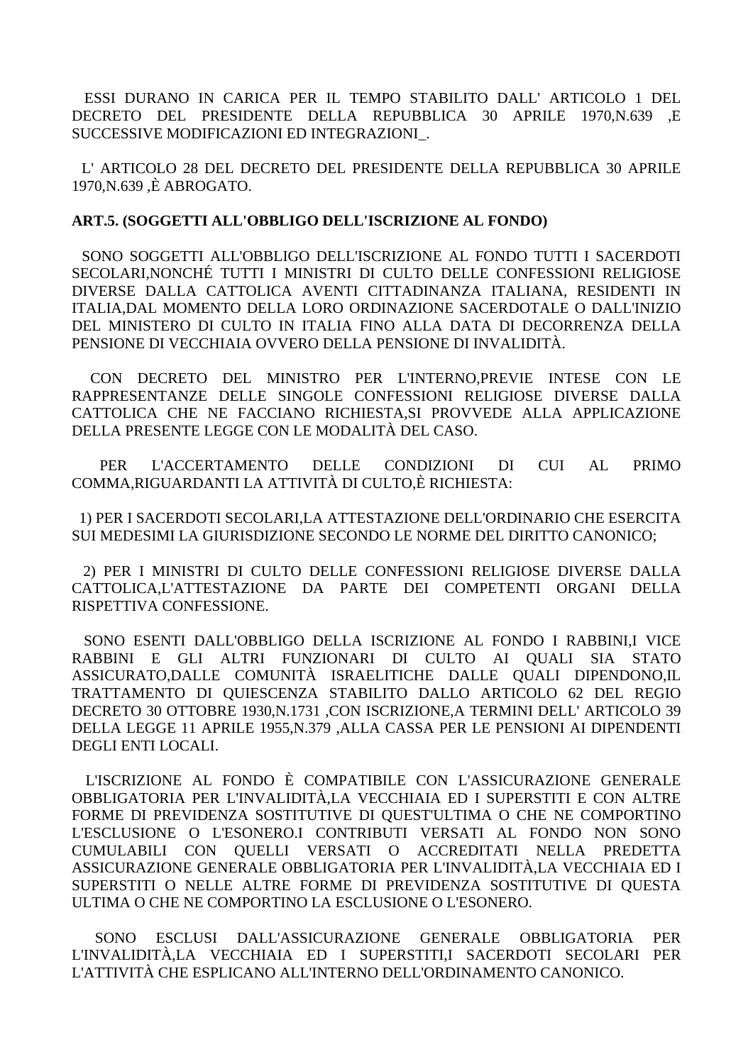ESSI DURANO IN CARICA PER IL TEMPO STABILITO DALL' ARTICOLO 1 DEL DECRETO DEL PRESIDENTE DELLA REPUBBLICA 30 APRILE 1970, N.639 E SUCCESSIVE MODIFICAZIONI ED INTEGRAZIONI.

L'ARTICOLO 28 DEL DECRETO DEL PRESIDENTE DELLA REPUBBLICA 30 APRILE 1970, N.639, È ABROGATO.

#### ART.5. (SOGGETTI ALL'OBBLIGO DELL'ISCRIZIONE AL FONDO)

SONO SOGGETTI ALL'OBBLIGO DELL'ISCRIZIONE AL FONDO TUTTI I SACERDOTI SECOLARLNONCHÉ TUTTI I MINISTRI DI CULTO DELLE CONFESSIONI RELIGIOSE DIVERSE DALLA CATTOLICA AVENTI CITTADINANZA ITALIANA, RESIDENTI IN ITALIA, DAL MOMENTO DELLA LORO ORDINAZIONE SACERDOTALE O DALL'INIZIO DEL MINISTERO DI CULTO IN ITALIA FINO ALLA DATA DI DECORRENZA DELLA PENSIONE DI VECCHIAIA OVVERO DELLA PENSIONE DI INVALIDITÀ.

CON DECRETO DEL MINISTRO PER L'INTERNO, PREVIE INTESE CON LE RAPPRESENTANZE DELLE SINGOLE CONFESSIONI RELIGIOSE DIVERSE DALLA CATTOLICA CHE NE FACCIANO RICHIESTA, SI PROVVEDE ALLA APPLICAZIONE DELLA PRESENTE LEGGE CON LE MODALITÀ DEL CASO.

**L'ACCERTAMENTO DELLE**  $CUI - AI$ **PER** CONDIZIONI  $DI$ **PRIMO** COMMA, RIGUARDANTI LA ATTIVITÀ DI CULTO,È RICHIESTA:

1) PER I SACERDOTI SECOLARI,LA ATTESTAZIONE DELL'ORDINARIO CHE ESERCITA SUI MEDESIMI LA GIURISDIZIONE SECONDO LE NORME DEL DIRITTO CANONICO:

2) PER I MINISTRI DI CULTO DELLE CONFESSIONI RELIGIOSE DIVERSE DALLA CATTOLICA.L'ATTESTAZIONE DA PARTE DEI COMPETENTI ORGANI DELLA RISPETTIVA CONFESSIONE.

SONO ESENTI DALL'OBBLIGO DELLA ISCRIZIONE AL FONDO I RABBINI,I VICE RABBINI E GLI ALTRI FUNZIONARI DI CULTO AI OUALI SIA STATO ASSICURATO,DALLE COMUNITÀ ISRAELITICHE DALLE QUALI DIPENDONO,IL TRATTAMENTO DI QUIESCENZA STABILITO DALLO ARTICOLO 62 DEL REGIO DECRETO 30 OTTOBRE 1930, N.1731 , CON ISCRIZIONE, A TERMINI DELL' ARTICOLO 39 DELLA LEGGE 11 APRILE 1955, N.379, ALLA CASSA PER LE PENSIONI AI DIPENDENTI DEGLI ENTI LOCALI.

L'ISCRIZIONE AL FONDO È COMPATIBILE CON L'ASSICURAZIONE GENERALE OBBLIGATORIA PER L'INVALIDITÀ.LA VECCHIAIA ED I SUPERSTITI E CON ALTRE FORME DI PREVIDENZA SOSTITUTIVE DI QUEST'ULTIMA O CHE NE COMPORTINO L'ESCLUSIONE O L'ESONERO.I CONTRIBUTI VERSATI AL FONDO NON SONO CUMULABILI CON OUELLI VERSATI O ACCREDITATI NELLA PREDETTA ASSICURAZIONE GENERALE OBBLIGATORIA PER L'INVALIDITÀ,LA VECCHIAIA ED I SUPERSTITI O NELLE ALTRE FORME DI PREVIDENZA SOSTITUTIVE DI OUESTA ULTIMA O CHE NE COMPORTINO LA ESCLUSIONE O L'ESONERO.

**SONO ESCLUSI** DALL'ASSICURAZIONE GENERALE **OBBLIGATORIA PER** L'INVALIDITÀ, LA VECCHIAIA ED I SUPERSTITI,I SACERDOTI SECOLARI PER L'ATTIVITÀ CHE ESPLICANO ALL'INTERNO DELL'ORDINAMENTO CANONICO.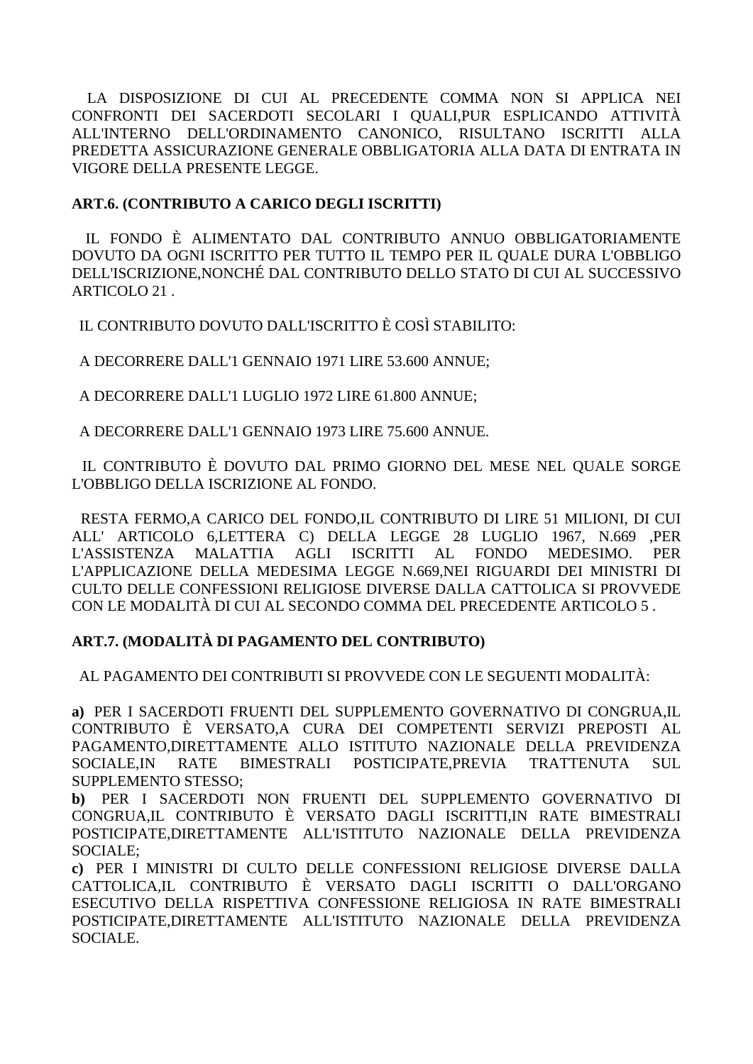LA DISPOSIZIONE DI CUI AL PRECEDENTE COMMA NON SI APPLICA NEI CONFRONTI DEI SACERDOTI SECOLARI I QUALI, PUR ESPLICANDO ATTIVITÀ ALL'INTERNO DELL'ORDINAMENTO CANONICO. RISULTANO ISCRITTI ALLA PREDETTA ASSICURAZIONE GENERALE OBBLIGATORIA ALLA DATA DI ENTRATA IN VIGORE DELLA PRESENTE LEGGE.

### ART.6. (CONTRIBUTO A CARICO DEGLI ISCRITTI)

IL FONDO È ALIMENTATO DAL CONTRIBUTO ANNUO OBBLIGATORIAMENTE DOVUTO DA OGNI ISCRITTO PER TUTTO IL TEMPO PER IL OUALE DURA L'OBBLIGO DELL'ISCRIZIONE NONCHÉ DAL CONTRIBUTO DELLO STATO DI CUI AL SUCCESSIVO ARTICOLO 21.

IL CONTRIBUTO DOVUTO DALL'ISCRITTO È COSÌ STABILITO:

A DECORRERE DALL'1 GENNAIO 1971 LIRE 53.600 ANNUE:

A DECORRERE DALL'1 LUGLIO 1972 LIRE 61.800 ANNUE:

A DECORRERE DALL'1 GENNAIO 1973 LIRE 75.600 ANNUE.

IL CONTRIBUTO È DOVUTO DAL PRIMO GIORNO DEL MESE NEL QUALE SORGE L'OBBLIGO DELLA ISCRIZIONE AL FONDO.

RESTA FERMO, A CARICO DEL FONDO, IL CONTRIBUTO DI LIRE 51 MILIONI, DI CUI ALL' ARTICOLO 6,LETTERA C) DELLA LEGGE 28 LUGLIO 1967, N.669 .PER **L'ASSISTENZA MALATTIA AGLI ISCRITTI**  $AL$ **FONDO** MEDESIMO. **PER** L'APPLICAZIONE DELLA MEDESIMA LEGGE N.669.NEI RIGUARDI DEI MINISTRI DI CULTO DELLE CONFESSIONI RELIGIOSE DIVERSE DALLA CATTOLICA SI PROVVEDE CON LE MODALITÀ DI CUI AL SECONDO COMMA DEL PRECEDENTE ARTICOLO 5.

## ART.7. (MODALITÀ DI PAGAMENTO DEL CONTRIBUTO)

AL PAGAMENTO DEI CONTRIBUTI SI PROVVEDE CON LE SEGUENTI MODALITÀ:

a) PER I SACERDOTI FRUENTI DEL SUPPLEMENTO GOVERNATIVO DI CONGRUA.IL CONTRIBUTO È VERSATO,A CURA DEI COMPETENTI SERVIZI PREPOSTI AL PAGAMENTO,DIRETTAMENTE ALLO ISTITUTO NAZIONALE DELLA PREVIDENZA SOCIALE, IN RATE **BIMESTRALI** POSTICIPATE,PREVIA TRATTENUTA **SUL SUPPLEMENTO STESSO:** 

b) PER I SACERDOTI NON FRUENTI DEL SUPPLEMENTO GOVERNATIVO DI CONGRUA,IL CONTRIBUTO È VERSATO DAGLI ISCRITTI,IN RATE BIMESTRALI POSTICIPATE, DIRETTAMENTE ALL'ISTITUTO NAZIONALE DELLA PREVIDENZA SOCIALE:

c) PER I MINISTRI DI CULTO DELLE CONFESSIONI RELIGIOSE DIVERSE DALLA CATTOLICA, IL CONTRIBUTO È VERSATO DAGLI ISCRITTI O DALL'ORGANO ESECUTIVO DELLA RISPETTIVA CONFESSIONE RELIGIOSA IN RATE BIMESTRALI POSTICIPATE, DIRETTAMENTE ALL'ISTITUTO NAZIONALE DELLA PREVIDENZA SOCIALE.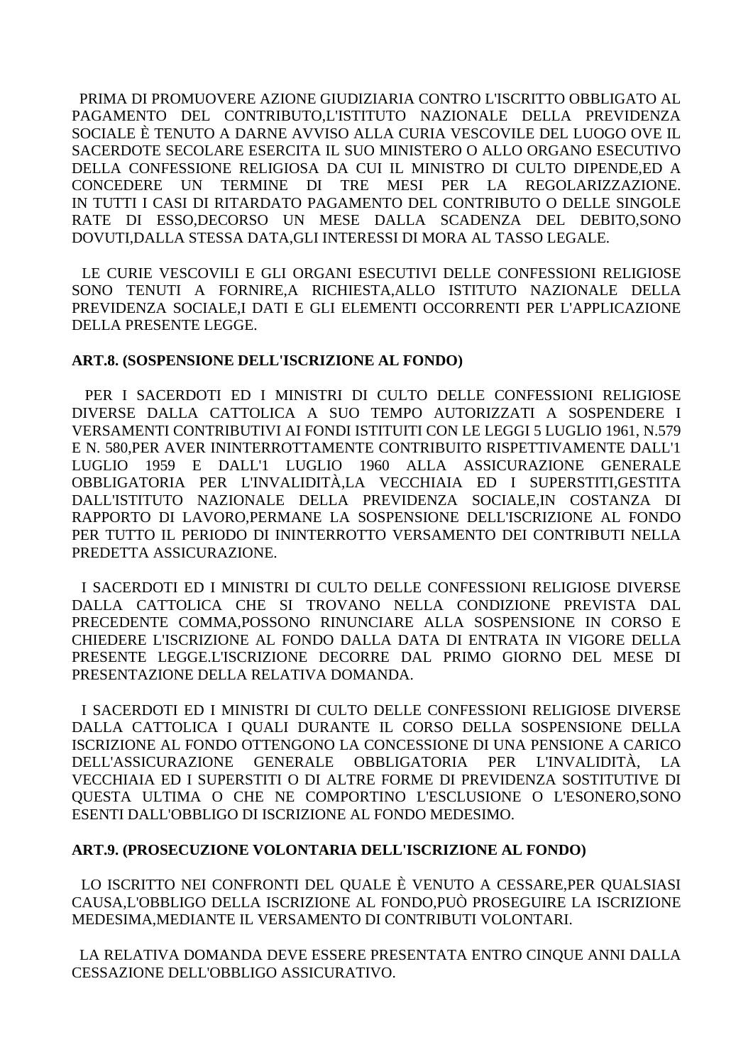PRIMA DI PROMUOVERE AZIONE GIUDIZIARIA CONTRO L'ISCRITTO OBBLIGATO AL PAGAMENTO DEL CONTRIBUTO,L'ISTITUTO NAZIONALE DELLA PREVIDENZA SOCIALE È TENUTO A DARNE AVVISO ALLA CURIA VESCOVILE DEL LUOGO OVE IL SACERDOTE SECOLARE ESERCITA IL SUO MINISTERO O ALLO ORGANO ESECUTIVO DELLA CONFESSIONE RELIGIOSA DA CUI IL MINISTRO DI CULTO DIPENDE,ED A **CONCEDERE UN** TERMINE DI TRE MESI PER LA REGOLARIZZAZIONE. IN TUTTI I CASI DI RITARDATO PAGAMENTO DEL CONTRIBUTO O DELLE SINGOLE RATE DI ESSO, DECORSO UN MESE DALLA SCADENZA DEL DEBITO. SONO DOVUTI, DALLA STESSA DATA, GLI INTERESSI DI MORA AL TASSO LEGALE.

LE CURIE VESCOVILI E GLI ORGANI ESECUTIVI DELLE CONFESSIONI RELIGIOSE SONO TENUTI A FORNIRE.A RICHIESTA.ALLO ISTITUTO NAZIONALE DELLA PREVIDENZA SOCIALEJ DATI E GLI ELEMENTI OCCORRENTI PER L'APPLICAZIONE DELLA PRESENTE LEGGE.

#### ART.8. (SOSPENSIONE DELL'ISCRIZIONE AL FONDO)

PER I SACERDOTI ED I MINISTRI DI CULTO DELLE CONFESSIONI RELIGIOSE DIVERSE DALLA CATTOLICA A SUO TEMPO AUTORIZZATI A SOSPENDERE I VERSAMENTI CONTRIBUTIVI AI FONDI ISTITUITI CON LE LEGGI 5 LUGLIO 1961, N.579 E N. 580, PER AVER ININTERROTTAMENTE CONTRIBUITO RISPETTIVAMENTE DALL'1 LUGLIO 1959 E DALL'1 LUGLIO 1960 ALLA ASSICURAZIONE GENERALE OBBLIGATORIA PER L'INVALIDITÀ,LA VECCHIAIA ED I SUPERSTITI,GESTITA DALL'ISTITUTO NAZIONALE DELLA PREVIDENZA SOCIALE,IN COSTANZA DI RAPPORTO DI LAVORO, PERMANE LA SOSPENSIONE DELL'ISCRIZIONE AL FONDO PER TUTTO IL PERIODO DI ININTERROTTO VERSAMENTO DEI CONTRIBUTI NELLA PREDETTA ASSICURAZIONE.

I SACERDOTI ED I MINISTRI DI CULTO DELLE CONFESSIONI RELIGIOSE DIVERSE DALLA CATTOLICA CHE SI TROVANO NELLA CONDIZIONE PREVISTA DAL PRECEDENTE COMMA.POSSONO RINUNCIARE ALLA SOSPENSIONE IN CORSO E CHIEDERE L'ISCRIZIONE AL FONDO DALLA DATA DI ENTRATA IN VIGORE DELLA PRESENTE LEGGE.L'ISCRIZIONE DECORRE DAL PRIMO GIORNO DEL MESE DI PRESENTAZIONE DELLA RELATIVA DOMANDA.

I SACERDOTI ED I MINISTRI DI CULTO DELLE CONFESSIONI RELIGIOSE DIVERSE DALLA CATTOLICA I OUALI DURANTE IL CORSO DELLA SOSPENSIONE DELLA ISCRIZIONE AL FONDO OTTENGONO LA CONCESSIONE DI UNA PENSIONE A CARICO **DELL'ASSICURAZIONE** GENERALE OBBLIGATORIA PER L'INVALIDITÀ. VECCHIAIA ED I SUPERSTITI O DI ALTRE FORME DI PREVIDENZA SOSTITUTIVE DI OUESTA ULTIMA O CHE NE COMPORTINO L'ESCLUSIONE O L'ESONERO, SONO ESENTI DALL'OBBLIGO DI ISCRIZIONE AL FONDO MEDESIMO.

#### ART.9. (PROSECUZIONE VOLONTARIA DELL'ISCRIZIONE AL FONDO)

LO ISCRITTO NEI CONFRONTI DEL QUALE È VENUTO A CESSARE, PER QUALSIASI CAUSA, L'OBBLIGO DELLA ISCRIZIONE AL FONDO, PUÒ PROSEGUIRE LA ISCRIZIONE MEDESIMA, MEDIANTE IL VERSAMENTO DI CONTRIBUTI VOLONTARI.

LA RELATIVA DOMANDA DEVE ESSERE PRESENTATA ENTRO CINOUE ANNI DALLA CESSAZIONE DELL'OBBLIGO ASSICURATIVO.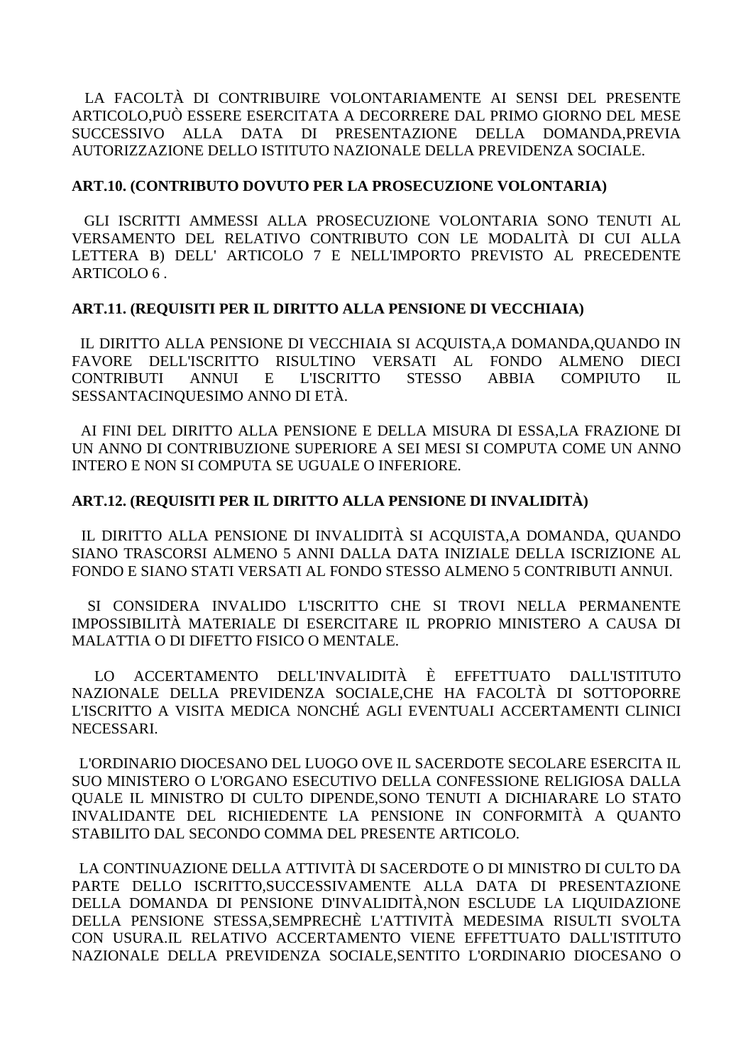LA FACOLTÀ DI CONTRIBUIRE VOLONTARIAMENTE AI SENSI DEL PRESENTE ARTICOLO,PUÒ ESSERE ESERCITATA A DECORRERE DAL PRIMO GIORNO DEL MESE SUCCESSIVO ALLA DATA DI PRESENTAZIONE DELLA DOMANDA,PREVIA AUTORIZZAZIONE DELLO ISTITUTO NAZIONALE DELLA PREVIDENZA SOCIALE.

#### **ART.10. (CONTRIBUTO DOVUTO PER LA PROSECUZIONE VOLONTARIA)**

 GLI ISCRITTI AMMESSI ALLA PROSECUZIONE VOLONTARIA SONO TENUTI AL VERSAMENTO DEL RELATIVO CONTRIBUTO CON LE MODALITÀ DI CUI ALLA LETTERA B) DELL' ARTICOLO 7 E NELL'IMPORTO PREVISTO AL PRECEDENTE ARTICOLO 6 .

#### **ART.11. (REQUISITI PER IL DIRITTO ALLA PENSIONE DI VECCHIAIA)**

 IL DIRITTO ALLA PENSIONE DI VECCHIAIA SI ACQUISTA,A DOMANDA,QUANDO IN FAVORE DELL'ISCRITTO RISULTINO VERSATI AL FONDO ALMENO DIECI CONTRIBUTI ANNUI E L'ISCRITTO STESSO ABBIA COMPIUTO IL SESSANTACINQUESIMO ANNO DI ETÀ.

 AI FINI DEL DIRITTO ALLA PENSIONE E DELLA MISURA DI ESSA,LA FRAZIONE DI UN ANNO DI CONTRIBUZIONE SUPERIORE A SEI MESI SI COMPUTA COME UN ANNO INTERO E NON SI COMPUTA SE UGUALE O INFERIORE.

### **ART.12. (REQUISITI PER IL DIRITTO ALLA PENSIONE DI INVALIDITÀ)**

 IL DIRITTO ALLA PENSIONE DI INVALIDITÀ SI ACQUISTA,A DOMANDA, QUANDO SIANO TRASCORSI ALMENO 5 ANNI DALLA DATA INIZIALE DELLA ISCRIZIONE AL FONDO E SIANO STATI VERSATI AL FONDO STESSO ALMENO 5 CONTRIBUTI ANNUI.

 SI CONSIDERA INVALIDO L'ISCRITTO CHE SI TROVI NELLA PERMANENTE IMPOSSIBILITÀ MATERIALE DI ESERCITARE IL PROPRIO MINISTERO A CAUSA DI MALATTIA O DI DIFETTO FISICO O MENTALE.

 LO ACCERTAMENTO DELL'INVALIDITÀ È EFFETTUATO DALL'ISTITUTO NAZIONALE DELLA PREVIDENZA SOCIALE,CHE HA FACOLTÀ DI SOTTOPORRE L'ISCRITTO A VISITA MEDICA NONCHÉ AGLI EVENTUALI ACCERTAMENTI CLINICI **NECESSARI.** 

 L'ORDINARIO DIOCESANO DEL LUOGO OVE IL SACERDOTE SECOLARE ESERCITA IL SUO MINISTERO O L'ORGANO ESECUTIVO DELLA CONFESSIONE RELIGIOSA DALLA QUALE IL MINISTRO DI CULTO DIPENDE,SONO TENUTI A DICHIARARE LO STATO INVALIDANTE DEL RICHIEDENTE LA PENSIONE IN CONFORMITÀ A QUANTO STABILITO DAL SECONDO COMMA DEL PRESENTE ARTICOLO.

 LA CONTINUAZIONE DELLA ATTIVITÀ DI SACERDOTE O DI MINISTRO DI CULTO DA PARTE DELLO ISCRITTO,SUCCESSIVAMENTE ALLA DATA DI PRESENTAZIONE DELLA DOMANDA DI PENSIONE D'INVALIDITÀ,NON ESCLUDE LA LIQUIDAZIONE DELLA PENSIONE STESSA,SEMPRECHÈ L'ATTIVITÀ MEDESIMA RISULTI SVOLTA CON USURA.IL RELATIVO ACCERTAMENTO VIENE EFFETTUATO DALL'ISTITUTO NAZIONALE DELLA PREVIDENZA SOCIALE,SENTITO L'ORDINARIO DIOCESANO O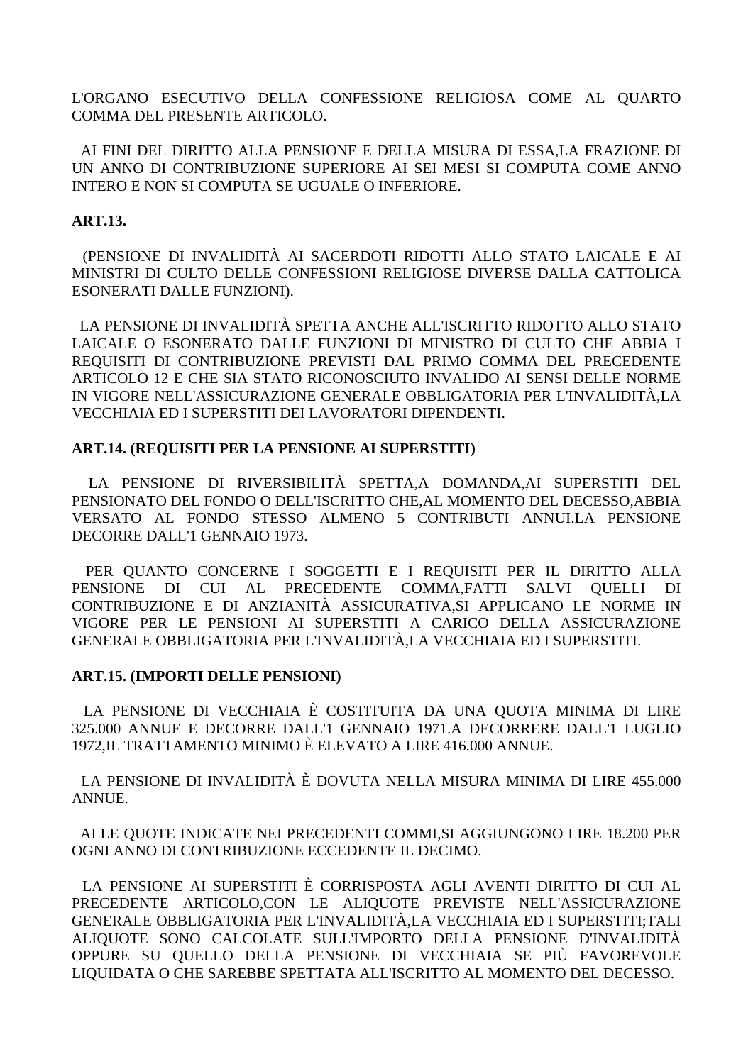L'ORGANO ESECUTIVO DELLA CONFESSIONE RELIGIOSA COME AL QUARTO COMMA DEL PRESENTE ARTICOLO.

 AI FINI DEL DIRITTO ALLA PENSIONE E DELLA MISURA DI ESSA,LA FRAZIONE DI UN ANNO DI CONTRIBUZIONE SUPERIORE AI SEI MESI SI COMPUTA COME ANNO INTERO E NON SI COMPUTA SE UGUALE O INFERIORE.

### **ART.13.**

 (PENSIONE DI INVALIDITÀ AI SACERDOTI RIDOTTI ALLO STATO LAICALE E AI MINISTRI DI CULTO DELLE CONFESSIONI RELIGIOSE DIVERSE DALLA CATTOLICA ESONERATI DALLE FUNZIONI).

 LA PENSIONE DI INVALIDITÀ SPETTA ANCHE ALL'ISCRITTO RIDOTTO ALLO STATO LAICALE O ESONERATO DALLE FUNZIONI DI MINISTRO DI CULTO CHE ABBIA I REQUISITI DI CONTRIBUZIONE PREVISTI DAL PRIMO COMMA DEL PRECEDENTE ARTICOLO 12 E CHE SIA STATO RICONOSCIUTO INVALIDO AI SENSI DELLE NORME IN VIGORE NELL'ASSICURAZIONE GENERALE OBBLIGATORIA PER L'INVALIDITÀ,LA VECCHIAIA ED I SUPERSTITI DEI LAVORATORI DIPENDENTI.

### **ART.14. (REQUISITI PER LA PENSIONE AI SUPERSTITI)**

 LA PENSIONE DI RIVERSIBILITÀ SPETTA,A DOMANDA,AI SUPERSTITI DEL PENSIONATO DEL FONDO O DELL'ISCRITTO CHE,AL MOMENTO DEL DECESSO,ABBIA VERSATO AL FONDO STESSO ALMENO 5 CONTRIBUTI ANNUI.LA PENSIONE DECORRE DALL'1 GENNAIO 1973.

 PER QUANTO CONCERNE I SOGGETTI E I REQUISITI PER IL DIRITTO ALLA PENSIONE DI CUI AL PRECEDENTE COMMA,FATTI SALVI QUELLI DI CONTRIBUZIONE E DI ANZIANITÀ ASSICURATIVA,SI APPLICANO LE NORME IN VIGORE PER LE PENSIONI AI SUPERSTITI A CARICO DELLA ASSICURAZIONE GENERALE OBBLIGATORIA PER L'INVALIDITÀ,LA VECCHIAIA ED I SUPERSTITI.

#### **ART.15. (IMPORTI DELLE PENSIONI)**

 LA PENSIONE DI VECCHIAIA È COSTITUITA DA UNA QUOTA MINIMA DI LIRE 325.000 ANNUE E DECORRE DALL'1 GENNAIO 1971.A DECORRERE DALL'1 LUGLIO 1972,IL TRATTAMENTO MINIMO È ELEVATO A LIRE 416.000 ANNUE.

 LA PENSIONE DI INVALIDITÀ È DOVUTA NELLA MISURA MINIMA DI LIRE 455.000 ANNUE.

 ALLE QUOTE INDICATE NEI PRECEDENTI COMMI,SI AGGIUNGONO LIRE 18.200 PER OGNI ANNO DI CONTRIBUZIONE ECCEDENTE IL DECIMO.

 LA PENSIONE AI SUPERSTITI È CORRISPOSTA AGLI AVENTI DIRITTO DI CUI AL PRECEDENTE ARTICOLO,CON LE ALIQUOTE PREVISTE NELL'ASSICURAZIONE GENERALE OBBLIGATORIA PER L'INVALIDITÀ,LA VECCHIAIA ED I SUPERSTITI;TALI ALIQUOTE SONO CALCOLATE SULL'IMPORTO DELLA PENSIONE D'INVALIDITÀ OPPURE SU QUELLO DELLA PENSIONE DI VECCHIAIA SE PIÙ FAVOREVOLE LIQUIDATA O CHE SAREBBE SPETTATA ALL'ISCRITTO AL MOMENTO DEL DECESSO.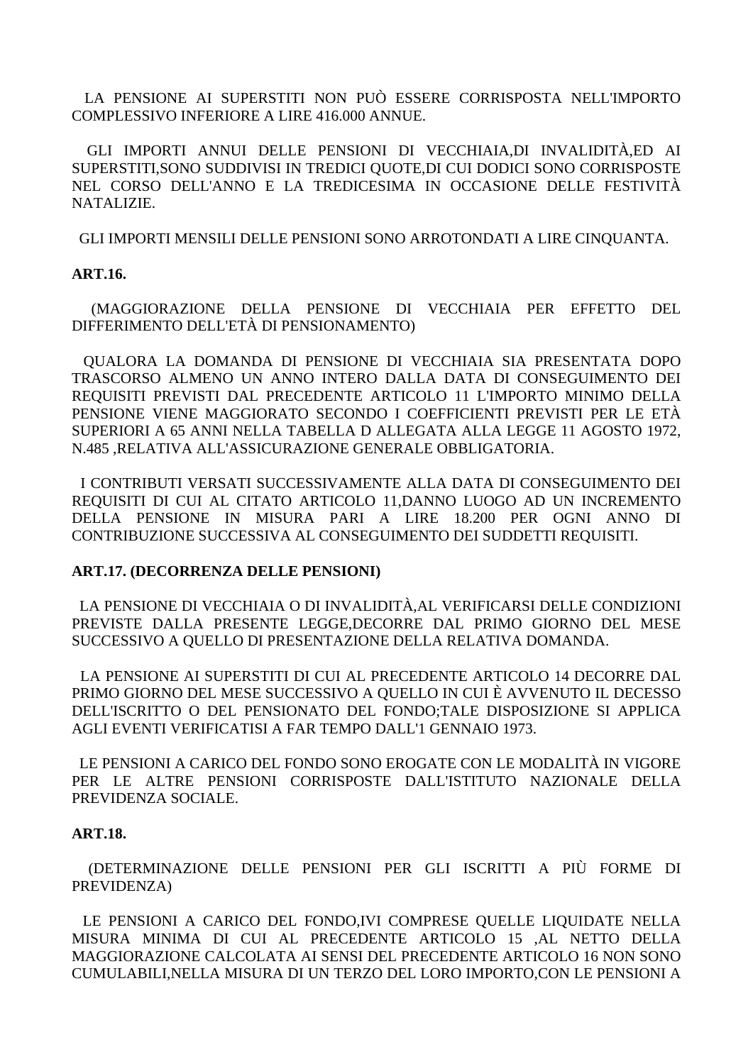LA PENSIONE AI SUPERSTITI NON PUÒ ESSERE CORRISPOSTA NELL'IMPORTO COMPLESSIVO INFERIORE A LIRE 416.000 ANNUE.

 GLI IMPORTI ANNUI DELLE PENSIONI DI VECCHIAIA,DI INVALIDITÀ,ED AI SUPERSTITI,SONO SUDDIVISI IN TREDICI QUOTE,DI CUI DODICI SONO CORRISPOSTE NEL CORSO DELL'ANNO E LA TREDICESIMA IN OCCASIONE DELLE FESTIVITÀ NATALIZIE.

GLI IMPORTI MENSILI DELLE PENSIONI SONO ARROTONDATI A LIRE CINQUANTA.

#### **ART.16.**

 (MAGGIORAZIONE DELLA PENSIONE DI VECCHIAIA PER EFFETTO DEL DIFFERIMENTO DELL'ETÀ DI PENSIONAMENTO)

 QUALORA LA DOMANDA DI PENSIONE DI VECCHIAIA SIA PRESENTATA DOPO TRASCORSO ALMENO UN ANNO INTERO DALLA DATA DI CONSEGUIMENTO DEI REQUISITI PREVISTI DAL PRECEDENTE ARTICOLO 11 L'IMPORTO MINIMO DELLA PENSIONE VIENE MAGGIORATO SECONDO I COEFFICIENTI PREVISTI PER LE ETÀ SUPERIORI A 65 ANNI NELLA TABELLA D ALLEGATA ALLA LEGGE 11 AGOSTO 1972, N.485 ,RELATIVA ALL'ASSICURAZIONE GENERALE OBBLIGATORIA.

 I CONTRIBUTI VERSATI SUCCESSIVAMENTE ALLA DATA DI CONSEGUIMENTO DEI REQUISITI DI CUI AL CITATO ARTICOLO 11,DANNO LUOGO AD UN INCREMENTO DELLA PENSIONE IN MISURA PARI A LIRE 18.200 PER OGNI ANNO DI CONTRIBUZIONE SUCCESSIVA AL CONSEGUIMENTO DEI SUDDETTI REQUISITI.

#### **ART.17. (DECORRENZA DELLE PENSIONI)**

 LA PENSIONE DI VECCHIAIA O DI INVALIDITÀ,AL VERIFICARSI DELLE CONDIZIONI PREVISTE DALLA PRESENTE LEGGE,DECORRE DAL PRIMO GIORNO DEL MESE SUCCESSIVO A QUELLO DI PRESENTAZIONE DELLA RELATIVA DOMANDA.

 LA PENSIONE AI SUPERSTITI DI CUI AL PRECEDENTE ARTICOLO 14 DECORRE DAL PRIMO GIORNO DEL MESE SUCCESSIVO A QUELLO IN CUI È AVVENUTO IL DECESSO DELL'ISCRITTO O DEL PENSIONATO DEL FONDO;TALE DISPOSIZIONE SI APPLICA AGLI EVENTI VERIFICATISI A FAR TEMPO DALL'1 GENNAIO 1973.

 LE PENSIONI A CARICO DEL FONDO SONO EROGATE CON LE MODALITÀ IN VIGORE PER LE ALTRE PENSIONI CORRISPOSTE DALL'ISTITUTO NAZIONALE DELLA PREVIDENZA SOCIALE.

#### **ART.18.**

 (DETERMINAZIONE DELLE PENSIONI PER GLI ISCRITTI A PIÙ FORME DI PREVIDENZA)

 LE PENSIONI A CARICO DEL FONDO,IVI COMPRESE QUELLE LIQUIDATE NELLA MISURA MINIMA DI CUI AL PRECEDENTE ARTICOLO 15 ,AL NETTO DELLA MAGGIORAZIONE CALCOLATA AI SENSI DEL PRECEDENTE ARTICOLO 16 NON SONO CUMULABILI,NELLA MISURA DI UN TERZO DEL LORO IMPORTO,CON LE PENSIONI A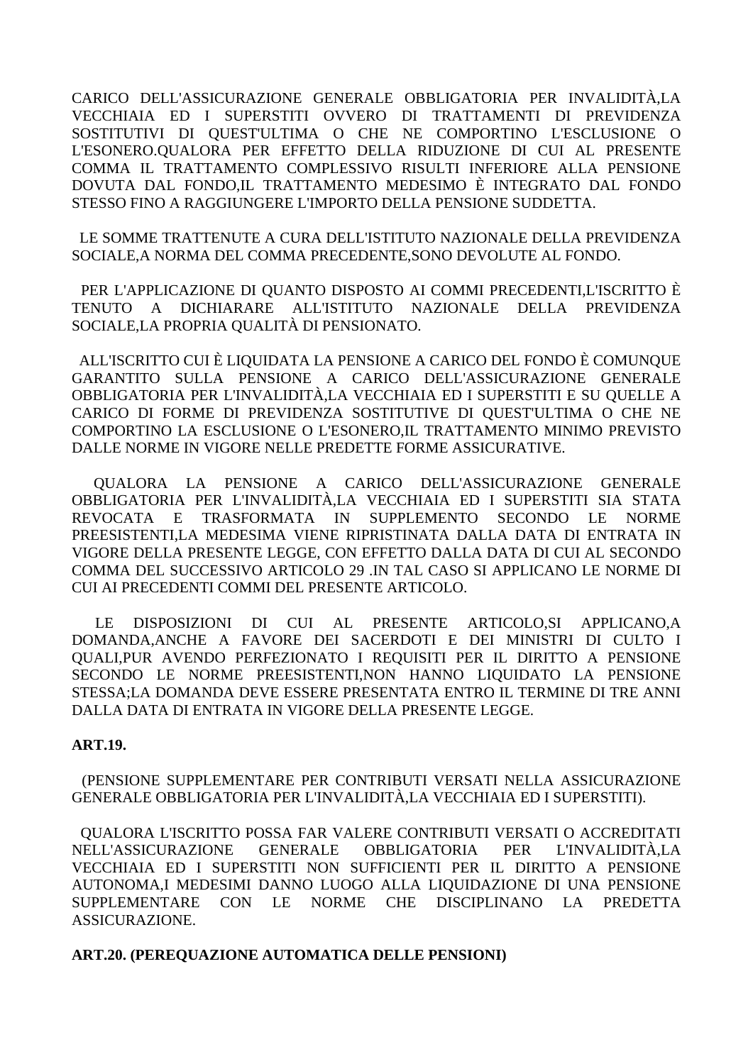CARICO DELL'ASSICURAZIONE GENERALE OBBLIGATORIA PER INVALIDITÀ,LA VECCHIAIA ED I SUPERSTITI OVVERO DI TRATTAMENTI DI PREVIDENZA SOSTITUTIVI DI QUEST'ULTIMA O CHE NE COMPORTINO L'ESCLUSIONE O L'ESONERO.QUALORA PER EFFETTO DELLA RIDUZIONE DI CUI AL PRESENTE COMMA IL TRATTAMENTO COMPLESSIVO RISULTI INFERIORE ALLA PENSIONE DOVUTA DAL FONDO,IL TRATTAMENTO MEDESIMO È INTEGRATO DAL FONDO STESSO FINO A RAGGIUNGERE L'IMPORTO DELLA PENSIONE SUDDETTA.

 LE SOMME TRATTENUTE A CURA DELL'ISTITUTO NAZIONALE DELLA PREVIDENZA SOCIALE,A NORMA DEL COMMA PRECEDENTE,SONO DEVOLUTE AL FONDO.

 PER L'APPLICAZIONE DI QUANTO DISPOSTO AI COMMI PRECEDENTI,L'ISCRITTO È TENUTO A DICHIARARE ALL'ISTITUTO NAZIONALE DELLA PREVIDENZA SOCIALE,LA PROPRIA QUALITÀ DI PENSIONATO.

 ALL'ISCRITTO CUI È LIQUIDATA LA PENSIONE A CARICO DEL FONDO È COMUNQUE GARANTITO SULLA PENSIONE A CARICO DELL'ASSICURAZIONE GENERALE OBBLIGATORIA PER L'INVALIDITÀ,LA VECCHIAIA ED I SUPERSTITI E SU QUELLE A CARICO DI FORME DI PREVIDENZA SOSTITUTIVE DI QUEST'ULTIMA O CHE NE COMPORTINO LA ESCLUSIONE O L'ESONERO,IL TRATTAMENTO MINIMO PREVISTO DALLE NORME IN VIGORE NELLE PREDETTE FORME ASSICURATIVE.

 QUALORA LA PENSIONE A CARICO DELL'ASSICURAZIONE GENERALE OBBLIGATORIA PER L'INVALIDITÀ,LA VECCHIAIA ED I SUPERSTITI SIA STATA REVOCATA E TRASFORMATA IN SUPPLEMENTO SECONDO LE NORME PREESISTENTI,LA MEDESIMA VIENE RIPRISTINATA DALLA DATA DI ENTRATA IN VIGORE DELLA PRESENTE LEGGE, CON EFFETTO DALLA DATA DI CUI AL SECONDO COMMA DEL SUCCESSIVO ARTICOLO 29 .IN TAL CASO SI APPLICANO LE NORME DI CUI AI PRECEDENTI COMMI DEL PRESENTE ARTICOLO.

 LE DISPOSIZIONI DI CUI AL PRESENTE ARTICOLO,SI APPLICANO,A DOMANDA,ANCHE A FAVORE DEI SACERDOTI E DEI MINISTRI DI CULTO I QUALI,PUR AVENDO PERFEZIONATO I REQUISITI PER IL DIRITTO A PENSIONE SECONDO LE NORME PREESISTENTI,NON HANNO LIQUIDATO LA PENSIONE STESSA;LA DOMANDA DEVE ESSERE PRESENTATA ENTRO IL TERMINE DI TRE ANNI DALLA DATA DI ENTRATA IN VIGORE DELLA PRESENTE LEGGE.

#### **ART.19.**

 (PENSIONE SUPPLEMENTARE PER CONTRIBUTI VERSATI NELLA ASSICURAZIONE GENERALE OBBLIGATORIA PER L'INVALIDITÀ,LA VECCHIAIA ED I SUPERSTITI).

 QUALORA L'ISCRITTO POSSA FAR VALERE CONTRIBUTI VERSATI O ACCREDITATI NELL'ASSICURAZIONE GENERALE OBBLIGATORIA PER L'INVALIDITÀ,LA VECCHIAIA ED I SUPERSTITI NON SUFFICIENTI PER IL DIRITTO A PENSIONE AUTONOMA,I MEDESIMI DANNO LUOGO ALLA LIQUIDAZIONE DI UNA PENSIONE SUPPLEMENTARE CON LE NORME CHE DISCIPLINANO LA PREDETTA ASSICURAZIONE.

#### **ART.20. (PEREQUAZIONE AUTOMATICA DELLE PENSIONI)**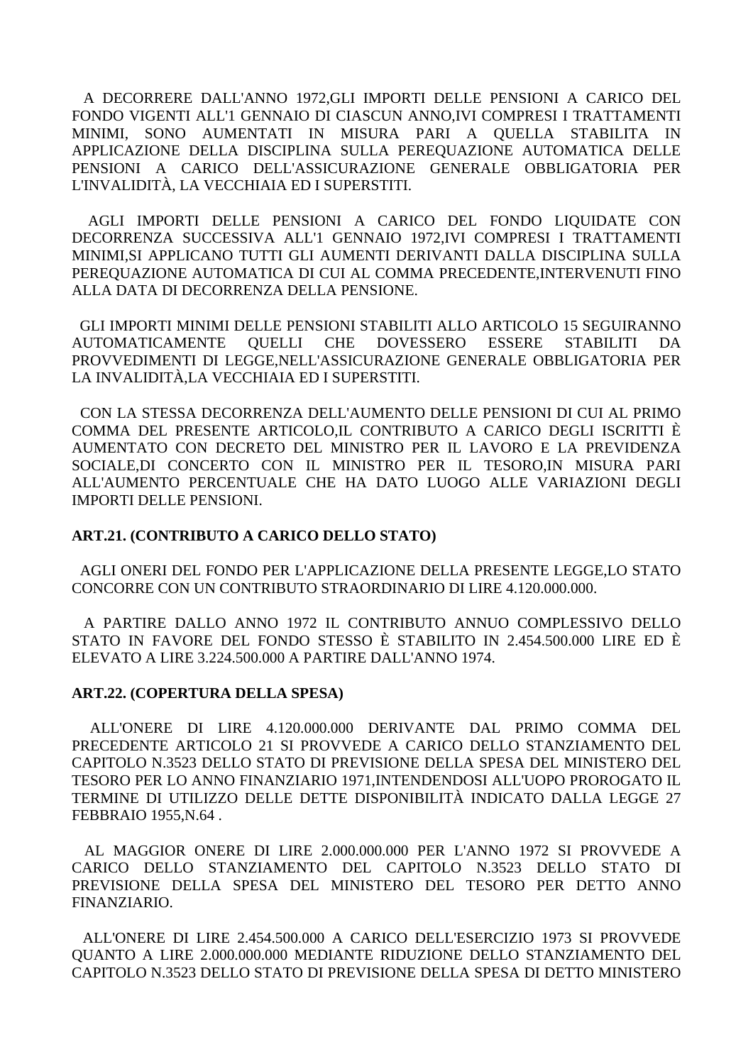A DECORRERE DALL'ANNO 1972,GLI IMPORTI DELLE PENSIONI A CARICO DEL FONDO VIGENTI ALL'1 GENNAIO DI CIASCUN ANNO,IVI COMPRESI I TRATTAMENTI MINIMI, SONO AUMENTATI IN MISURA PARI A QUELLA STABILITA IN APPLICAZIONE DELLA DISCIPLINA SULLA PEREQUAZIONE AUTOMATICA DELLE PENSIONI A CARICO DELL'ASSICURAZIONE GENERALE OBBLIGATORIA PER L'INVALIDITÀ, LA VECCHIAIA ED I SUPERSTITI.

 AGLI IMPORTI DELLE PENSIONI A CARICO DEL FONDO LIQUIDATE CON DECORRENZA SUCCESSIVA ALL'1 GENNAIO 1972,IVI COMPRESI I TRATTAMENTI MINIMI,SI APPLICANO TUTTI GLI AUMENTI DERIVANTI DALLA DISCIPLINA SULLA PEREQUAZIONE AUTOMATICA DI CUI AL COMMA PRECEDENTE,INTERVENUTI FINO ALLA DATA DI DECORRENZA DELLA PENSIONE.

 GLI IMPORTI MINIMI DELLE PENSIONI STABILITI ALLO ARTICOLO 15 SEGUIRANNO AUTOMATICAMENTE QUELLI CHE DOVESSERO ESSERE STABILITI DA PROVVEDIMENTI DI LEGGE,NELL'ASSICURAZIONE GENERALE OBBLIGATORIA PER LA INVALIDITÀ,LA VECCHIAIA ED I SUPERSTITI.

 CON LA STESSA DECORRENZA DELL'AUMENTO DELLE PENSIONI DI CUI AL PRIMO COMMA DEL PRESENTE ARTICOLO,IL CONTRIBUTO A CARICO DEGLI ISCRITTI È AUMENTATO CON DECRETO DEL MINISTRO PER IL LAVORO E LA PREVIDENZA SOCIALE,DI CONCERTO CON IL MINISTRO PER IL TESORO,IN MISURA PARI ALL'AUMENTO PERCENTUALE CHE HA DATO LUOGO ALLE VARIAZIONI DEGLI IMPORTI DELLE PENSIONI.

#### **ART.21. (CONTRIBUTO A CARICO DELLO STATO)**

 AGLI ONERI DEL FONDO PER L'APPLICAZIONE DELLA PRESENTE LEGGE,LO STATO CONCORRE CON UN CONTRIBUTO STRAORDINARIO DI LIRE 4.120.000.000.

 A PARTIRE DALLO ANNO 1972 IL CONTRIBUTO ANNUO COMPLESSIVO DELLO STATO IN FAVORE DEL FONDO STESSO È STABILITO IN 2.454.500.000 LIRE ED È ELEVATO A LIRE 3.224.500.000 A PARTIRE DALL'ANNO 1974.

#### **ART.22. (COPERTURA DELLA SPESA)**

 ALL'ONERE DI LIRE 4.120.000.000 DERIVANTE DAL PRIMO COMMA DEL PRECEDENTE ARTICOLO 21 SI PROVVEDE A CARICO DELLO STANZIAMENTO DEL CAPITOLO N.3523 DELLO STATO DI PREVISIONE DELLA SPESA DEL MINISTERO DEL TESORO PER LO ANNO FINANZIARIO 1971,INTENDENDOSI ALL'UOPO PROROGATO IL TERMINE DI UTILIZZO DELLE DETTE DISPONIBILITÀ INDICATO DALLA LEGGE 27 FEBBRAIO 1955,N.64 .

 AL MAGGIOR ONERE DI LIRE 2.000.000.000 PER L'ANNO 1972 SI PROVVEDE A CARICO DELLO STANZIAMENTO DEL CAPITOLO N.3523 DELLO STATO DI PREVISIONE DELLA SPESA DEL MINISTERO DEL TESORO PER DETTO ANNO FINANZIARIO.

 ALL'ONERE DI LIRE 2.454.500.000 A CARICO DELL'ESERCIZIO 1973 SI PROVVEDE QUANTO A LIRE 2.000.000.000 MEDIANTE RIDUZIONE DELLO STANZIAMENTO DEL CAPITOLO N.3523 DELLO STATO DI PREVISIONE DELLA SPESA DI DETTO MINISTERO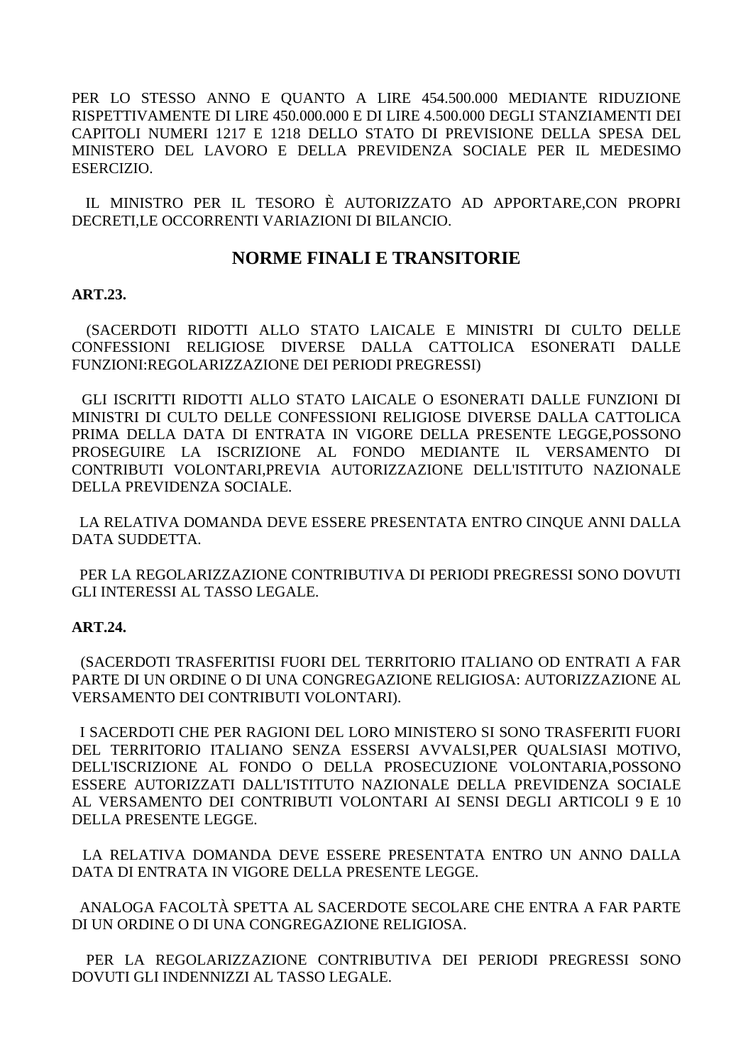PER LO STESSO ANNO E QUANTO A LIRE 454.500.000 MEDIANTE RIDUZIONE RISPETTIVAMENTE DI LIRE 450.000.000 E DI LIRE 4.500.000 DEGLI STANZIAMENTI DEI CAPITOLI NUMERI 1217 E 1218 DELLO STATO DI PREVISIONE DELLA SPESA DEL MINISTERO DEL LAVORO E DELLA PREVIDENZA SOCIALE PER IL MEDESIMO ESERCIZIO.

IL MINISTRO PER IL TESORO È AUTORIZZATO AD APPORTARE, CON PROPRI DECRETI.LE OCCORRENTI VARIAZIONI DI BILANCIO.

## **NORME FINALI E TRANSITORIE**

#### **ART.23.**

(SACERDOTI RIDOTTI ALLO STATO LAICALE E MINISTRI DI CULTO DELLE CONFESSIONI RELIGIOSE DIVERSE DALLA CATTOLICA ESONERATI DALLE FUNZIONI:REGOLARIZZAZIONE DEI PERIODI PREGRESSI)

GLI ISCRITTI RIDOTTI ALLO STATO LAICALE O ESONERATI DALLE FUNZIONI DI MINISTRI DI CULTO DELLE CONFESSIONI RELIGIOSE DIVERSE DALLA CATTOLICA PRIMA DELLA DATA DI ENTRATA IN VIGORE DELLA PRESENTE LEGGE,POSSONO PROSEGUIRE LA ISCRIZIONE AL FONDO MEDIANTE IL VERSAMENTO DI CONTRIBUTI VOLONTARI, PREVIA AUTORIZZAZIONE DELL'ISTITUTO NAZIONALE DELLA PREVIDENZA SOCIALE.

LA RELATIVA DOMANDA DEVE ESSERE PRESENTATA ENTRO CINOUE ANNI DALLA DATA SUDDETTA.

PER LA REGOLARIZZAZIONE CONTRIBUTIVA DI PERIODI PREGRESSI SONO DOVUTI GLI INTERESSI AL TASSO LEGALE.

#### **ART.24.**

(SACERDOTI TRASFERITISI FUORI DEL TERRITORIO ITALIANO OD ENTRATI A FAR PARTE DI UN ORDINE O DI UNA CONGREGAZIONE RELIGIOSA: AUTORIZZAZIONE AL VERSAMENTO DEI CONTRIBUTI VOLONTARI).

I SACERDOTI CHE PER RAGIONI DEL LORO MINISTERO SI SONO TRASFERITI FUORI DEL TERRITORIO ITALIANO SENZA ESSERSI AVVALSI, PER QUALSIASI MOTIVO, DELL'ISCRIZIONE AL FONDO O DELLA PROSECUZIONE VOLONTARIA, POSSONO ESSERE AUTORIZZATI DALL'ISTITUTO NAZIONALE DELLA PREVIDENZA SOCIALE AL VERSAMENTO DEI CONTRIBUTI VOLONTARI AI SENSI DEGLI ARTICOLI 9 E 10 DELLA PRESENTE LEGGE.

LA RELATIVA DOMANDA DEVE ESSERE PRESENTATA ENTRO UN ANNO DALLA DATA DI ENTRATA IN VIGORE DELLA PRESENTE LEGGE.

ANALOGA FACOLTÀ SPETTA AL SACERDOTE SECOLARE CHE ENTRA A FAR PARTE DI UN ORDINE O DI UNA CONGREGAZIONE RELIGIOSA.

PER LA REGOLARIZZAZIONE CONTRIBUTIVA DEI PERIODI PREGRESSI SONO DOVUTI GLI INDENNIZZI AL TASSO LEGALE.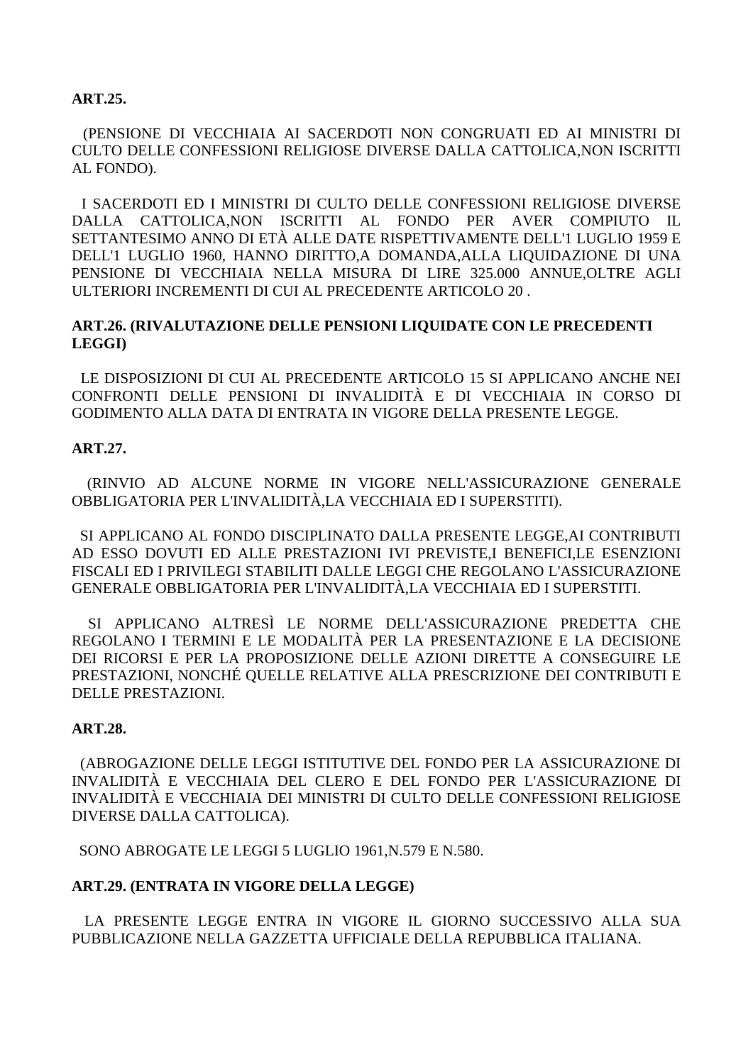### **ART.25.**

 (PENSIONE DI VECCHIAIA AI SACERDOTI NON CONGRUATI ED AI MINISTRI DI CULTO DELLE CONFESSIONI RELIGIOSE DIVERSE DALLA CATTOLICA,NON ISCRITTI AL FONDO).

 I SACERDOTI ED I MINISTRI DI CULTO DELLE CONFESSIONI RELIGIOSE DIVERSE DALLA CATTOLICA,NON ISCRITTI AL FONDO PER AVER COMPIUTO IL SETTANTESIMO ANNO DI ETÀ ALLE DATE RISPETTIVAMENTE DELL'1 LUGLIO 1959 E DELL'1 LUGLIO 1960, HANNO DIRITTO,A DOMANDA,ALLA LIQUIDAZIONE DI UNA PENSIONE DI VECCHIAIA NELLA MISURA DI LIRE 325.000 ANNUE,OLTRE AGLI ULTERIORI INCREMENTI DI CUI AL PRECEDENTE ARTICOLO 20 .

#### **ART.26. (RIVALUTAZIONE DELLE PENSIONI LIQUIDATE CON LE PRECEDENTI LEGGI)**

 LE DISPOSIZIONI DI CUI AL PRECEDENTE ARTICOLO 15 SI APPLICANO ANCHE NEI CONFRONTI DELLE PENSIONI DI INVALIDITÀ E DI VECCHIAIA IN CORSO DI GODIMENTO ALLA DATA DI ENTRATA IN VIGORE DELLA PRESENTE LEGGE.

#### **ART.27.**

 (RINVIO AD ALCUNE NORME IN VIGORE NELL'ASSICURAZIONE GENERALE OBBLIGATORIA PER L'INVALIDITÀ,LA VECCHIAIA ED I SUPERSTITI).

 SI APPLICANO AL FONDO DISCIPLINATO DALLA PRESENTE LEGGE,AI CONTRIBUTI AD ESSO DOVUTI ED ALLE PRESTAZIONI IVI PREVISTE,I BENEFICI,LE ESENZIONI FISCALI ED I PRIVILEGI STABILITI DALLE LEGGI CHE REGOLANO L'ASSICURAZIONE GENERALE OBBLIGATORIA PER L'INVALIDITÀ,LA VECCHIAIA ED I SUPERSTITI.

 SI APPLICANO ALTRESÌ LE NORME DELL'ASSICURAZIONE PREDETTA CHE REGOLANO I TERMINI E LE MODALITÀ PER LA PRESENTAZIONE E LA DECISIONE DEI RICORSI E PER LA PROPOSIZIONE DELLE AZIONI DIRETTE A CONSEGUIRE LE PRESTAZIONI, NONCHÉ QUELLE RELATIVE ALLA PRESCRIZIONE DEI CONTRIBUTI E DELLE PRESTAZIONI.

### **ART.28.**

 (ABROGAZIONE DELLE LEGGI ISTITUTIVE DEL FONDO PER LA ASSICURAZIONE DI INVALIDITÀ E VECCHIAIA DEL CLERO E DEL FONDO PER L'ASSICURAZIONE DI INVALIDITÀ E VECCHIAIA DEI MINISTRI DI CULTO DELLE CONFESSIONI RELIGIOSE DIVERSE DALLA CATTOLICA).

SONO ABROGATE LE LEGGI 5 LUGLIO 1961,N.579 E N.580.

#### **ART.29. (ENTRATA IN VIGORE DELLA LEGGE)**

 LA PRESENTE LEGGE ENTRA IN VIGORE IL GIORNO SUCCESSIVO ALLA SUA PUBBLICAZIONE NELLA GAZZETTA UFFICIALE DELLA REPUBBLICA ITALIANA.